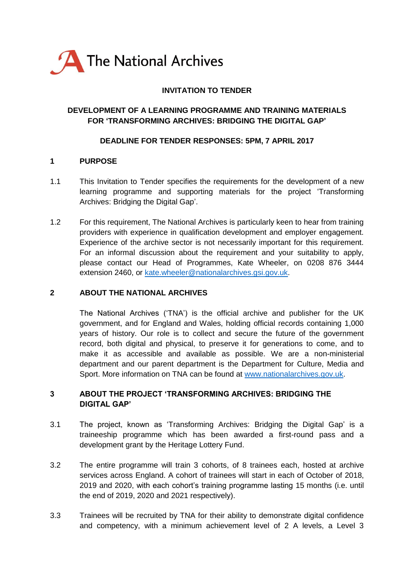

## **INVITATION TO TENDER**

### **DEVELOPMENT OF A LEARNING PROGRAMME AND TRAINING MATERIALS FOR 'TRANSFORMING ARCHIVES: BRIDGING THE DIGITAL GAP'**

#### **DEADLINE FOR TENDER RESPONSES: 5PM, 7 APRIL 2017**

### **1 PURPOSE**

- 1.1 This Invitation to Tender specifies the requirements for the development of a new learning programme and supporting materials for the project 'Transforming Archives: Bridging the Digital Gap'.
- 1.2 For this requirement, The National Archives is particularly keen to hear from training providers with experience in qualification development and employer engagement. Experience of the archive sector is not necessarily important for this requirement. For an informal discussion about the requirement and your suitability to apply, please contact our Head of Programmes, Kate Wheeler, on 0208 876 3444 extension 2460, or [kate.wheeler@nationalarchives.gsi.gov.uk.](mailto:kate.wheeler@nationalarchives.gsi.gov.uk)

#### **2 ABOUT THE NATIONAL ARCHIVES**

The National Archives ('TNA') is the official archive and publisher for the UK government, and for England and Wales, holding official records containing 1,000 years of history. Our role is to collect and secure the future of the government record, both digital and physical, to preserve it for generations to come, and to make it as accessible and available as possible. We are a non-ministerial department and our parent department is the Department for Culture, Media and Sport. More information on TNA can be found at [www.nationalarchives.gov.uk.](http://www.nationalarchives.gov.uk/)

### **3 ABOUT THE PROJECT 'TRANSFORMING ARCHIVES: BRIDGING THE DIGITAL GAP'**

- 3.1 The project, known as 'Transforming Archives: Bridging the Digital Gap' is a traineeship programme which has been awarded a first-round pass and a development grant by the Heritage Lottery Fund.
- 3.2 The entire programme will train 3 cohorts, of 8 trainees each, hosted at archive services across England. A cohort of trainees will start in each of October of 2018, 2019 and 2020, with each cohort's training programme lasting 15 months (i.e. until the end of 2019, 2020 and 2021 respectively).
- 3.3 Trainees will be recruited by TNA for their ability to demonstrate digital confidence and competency, with a minimum achievement level of 2 A levels, a Level 3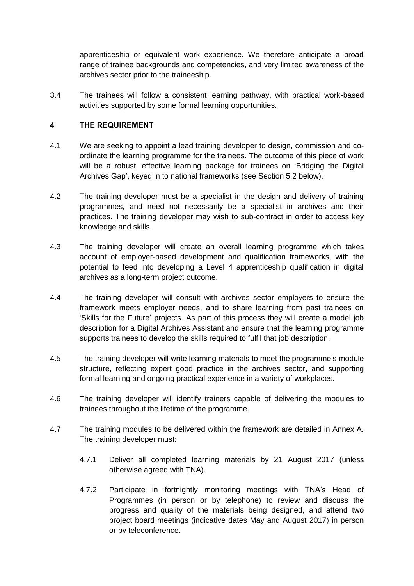apprenticeship or equivalent work experience. We therefore anticipate a broad range of trainee backgrounds and competencies, and very limited awareness of the archives sector prior to the traineeship.

3.4 The trainees will follow a consistent learning pathway, with practical work-based activities supported by some formal learning opportunities.

### **4 THE REQUIREMENT**

- 4.1 We are seeking to appoint a lead training developer to design, commission and coordinate the learning programme for the trainees. The outcome of this piece of work will be a robust, effective learning package for trainees on 'Bridging the Digital Archives Gap', keyed in to national frameworks (see Section 5.2 below).
- 4.2 The training developer must be a specialist in the design and delivery of training programmes, and need not necessarily be a specialist in archives and their practices. The training developer may wish to sub-contract in order to access key knowledge and skills.
- 4.3 The training developer will create an overall learning programme which takes account of employer-based development and qualification frameworks, with the potential to feed into developing a Level 4 apprenticeship qualification in digital archives as a long-term project outcome.
- 4.4 The training developer will consult with archives sector employers to ensure the framework meets employer needs, and to share learning from past trainees on 'Skills for the Future' projects. As part of this process they will create a model job description for a Digital Archives Assistant and ensure that the learning programme supports trainees to develop the skills required to fulfil that job description.
- 4.5 The training developer will write learning materials to meet the programme's module structure, reflecting expert good practice in the archives sector, and supporting formal learning and ongoing practical experience in a variety of workplaces.
- 4.6 The training developer will identify trainers capable of delivering the modules to trainees throughout the lifetime of the programme.
- 4.7 The training modules to be delivered within the framework are detailed in Annex A. The training developer must:
	- 4.7.1 Deliver all completed learning materials by 21 August 2017 (unless otherwise agreed with TNA).
	- 4.7.2 Participate in fortnightly monitoring meetings with TNA's Head of Programmes (in person or by telephone) to review and discuss the progress and quality of the materials being designed, and attend two project board meetings (indicative dates May and August 2017) in person or by teleconference.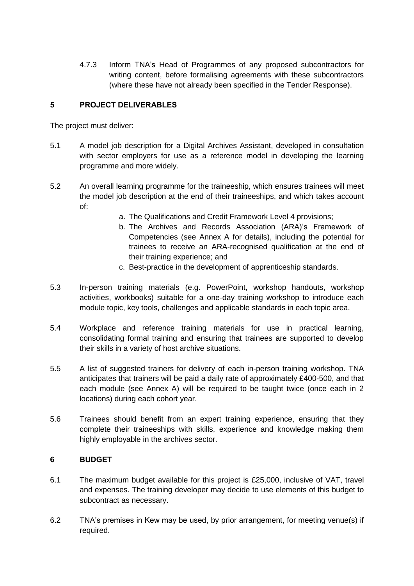4.7.3 Inform TNA's Head of Programmes of any proposed subcontractors for writing content, before formalising agreements with these subcontractors (where these have not already been specified in the Tender Response).

### **5 PROJECT DELIVERABLES**

The project must deliver:

- 5.1 A model job description for a Digital Archives Assistant, developed in consultation with sector employers for use as a reference model in developing the learning programme and more widely.
- 5.2 An overall learning programme for the traineeship, which ensures trainees will meet the model job description at the end of their traineeships, and which takes account of:
	- a. The Qualifications and Credit Framework Level 4 provisions;
	- b. The Archives and Records Association (ARA)'s Framework of Competencies (see Annex A for details), including the potential for trainees to receive an ARA-recognised qualification at the end of their training experience; and
	- c. Best-practice in the development of apprenticeship standards.
- 5.3 In-person training materials (e.g. PowerPoint, workshop handouts, workshop activities, workbooks) suitable for a one-day training workshop to introduce each module topic, key tools, challenges and applicable standards in each topic area.
- 5.4 Workplace and reference training materials for use in practical learning, consolidating formal training and ensuring that trainees are supported to develop their skills in a variety of host archive situations.
- 5.5 A list of suggested trainers for delivery of each in-person training workshop. TNA anticipates that trainers will be paid a daily rate of approximately £400-500, and that each module (see Annex A) will be required to be taught twice (once each in 2 locations) during each cohort year.
- 5.6 Trainees should benefit from an expert training experience, ensuring that they complete their traineeships with skills, experience and knowledge making them highly employable in the archives sector.

## **6 BUDGET**

- 6.1 The maximum budget available for this project is £25,000, inclusive of VAT, travel and expenses. The training developer may decide to use elements of this budget to subcontract as necessary.
- 6.2 TNA's premises in Kew may be used, by prior arrangement, for meeting venue(s) if required.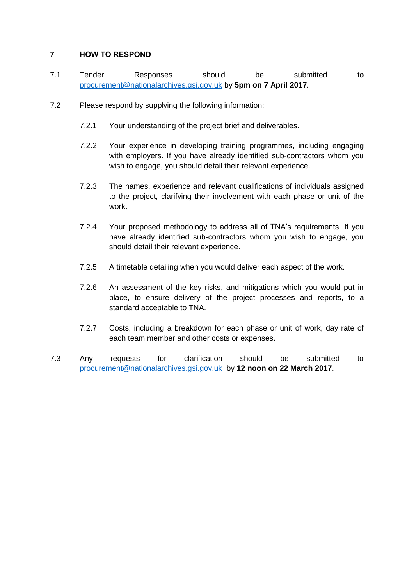### **7 HOW TO RESPOND**

- 7.1 Tender Responses should be submitted to [procurement@nationalarchives.gsi.gov.uk](mailto:procurement@nationalarchives.gsi.gov.uk) by **5pm on 7 April 2017**.
- 7.2 Please respond by supplying the following information:
	- 7.2.1 Your understanding of the project brief and deliverables.
	- 7.2.2 Your experience in developing training programmes, including engaging with employers. If you have already identified sub-contractors whom you wish to engage, you should detail their relevant experience.
	- 7.2.3 The names, experience and relevant qualifications of individuals assigned to the project, clarifying their involvement with each phase or unit of the work.
	- 7.2.4 Your proposed methodology to address all of TNA's requirements. If you have already identified sub-contractors whom you wish to engage, you should detail their relevant experience.
	- 7.2.5 A timetable detailing when you would deliver each aspect of the work.
	- 7.2.6 An assessment of the key risks, and mitigations which you would put in place, to ensure delivery of the project processes and reports, to a standard acceptable to TNA.
	- 7.2.7 Costs, including a breakdown for each phase or unit of work, day rate of each team member and other costs or expenses.
- 7.3 Any requests for clarification should be submitted to [procurement@nationalarchives.gsi.gov.uk](mailto:procurement@nationalarchives.gsi.gov.uk) by **12 noon on 22 March 2017**.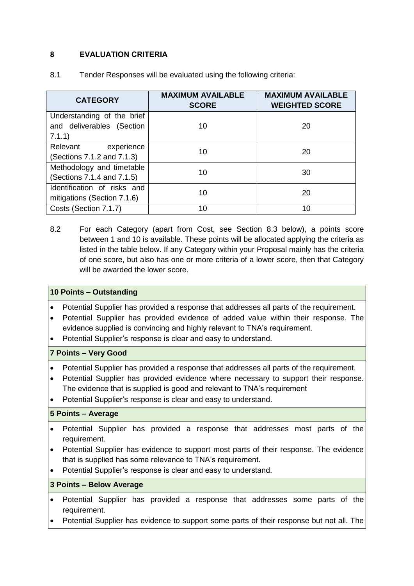## **8 EVALUATION CRITERIA**

| <b>CATEGORY</b>                                                   | <b>MAXIMUM AVAILABLE</b><br><b>SCORE</b> | <b>MAXIMUM AVAILABLE</b><br><b>WEIGHTED SCORE</b> |
|-------------------------------------------------------------------|------------------------------------------|---------------------------------------------------|
| Understanding of the brief<br>and deliverables (Section<br>7.1.1) | 10                                       | 20                                                |
| experience<br>Relevant<br>(Sections 7.1.2 and 7.1.3)              | 10                                       | 20                                                |
| Methodology and timetable<br>(Sections 7.1.4 and 7.1.5)           | 10                                       | 30                                                |
| Identification of risks and<br>mitigations (Section 7.1.6)        | 10                                       | 20                                                |
| Costs (Section 7.1.7)                                             | 10                                       | 10                                                |

8.1 Tender Responses will be evaluated using the following criteria:

8.2 For each Category (apart from Cost, see Section 8.3 below), a points score between 1 and 10 is available. These points will be allocated applying the criteria as listed in the table below. If any Category within your Proposal mainly has the criteria of one score, but also has one or more criteria of a lower score, then that Category will be awarded the lower score.

#### **10 Points – Outstanding**

- Potential Supplier has provided a response that addresses all parts of the requirement.
- Potential Supplier has provided evidence of added value within their response. The evidence supplied is convincing and highly relevant to TNA's requirement.
- Potential Supplier's response is clear and easy to understand.

#### **7 Points – Very Good**

- Potential Supplier has provided a response that addresses all parts of the requirement.
- Potential Supplier has provided evidence where necessary to support their response. The evidence that is supplied is good and relevant to TNA's requirement
- Potential Supplier's response is clear and easy to understand.

#### **5 Points – Average**

- Potential Supplier has provided a response that addresses most parts of the requirement.
- Potential Supplier has evidence to support most parts of their response. The evidence that is supplied has some relevance to TNA's requirement.
- Potential Supplier's response is clear and easy to understand.

#### **3 Points – Below Average**

- Potential Supplier has provided a response that addresses some parts of the requirement.
- Potential Supplier has evidence to support some parts of their response but not all. The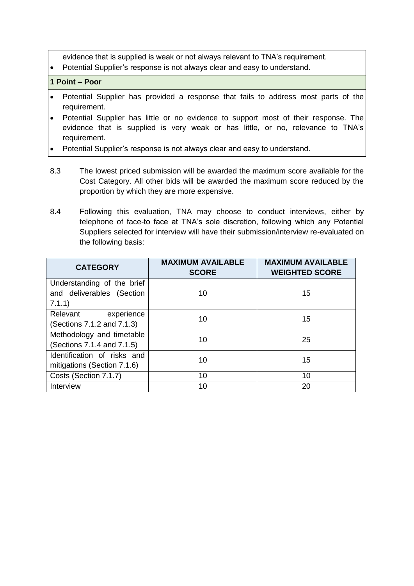evidence that is supplied is weak or not always relevant to TNA's requirement.

Potential Supplier's response is not always clear and easy to understand.

#### **1 Point – Poor**

- Potential Supplier has provided a response that fails to address most parts of the requirement.
- Potential Supplier has little or no evidence to support most of their response. The evidence that is supplied is very weak or has little, or no, relevance to TNA's requirement.
- Potential Supplier's response is not always clear and easy to understand.
- 8.3 The lowest priced submission will be awarded the maximum score available for the Cost Category. All other bids will be awarded the maximum score reduced by the proportion by which they are more expensive.
- 8.4 Following this evaluation, TNA may choose to conduct interviews, either by telephone of face-to face at TNA's sole discretion, following which any Potential Suppliers selected for interview will have their submission/interview re-evaluated on the following basis:

| <b>CATEGORY</b>                                                   | <b>MAXIMUM AVAILABLE</b><br><b>SCORE</b> | <b>MAXIMUM AVAILABLE</b><br><b>WEIGHTED SCORE</b> |  |
|-------------------------------------------------------------------|------------------------------------------|---------------------------------------------------|--|
| Understanding of the brief<br>and deliverables (Section<br>7.1.1) | 10                                       | 15                                                |  |
| Relevant<br>experience<br>(Sections 7.1.2 and 7.1.3)              | 10                                       | 15                                                |  |
| Methodology and timetable<br>(Sections 7.1.4 and 7.1.5)           | 10                                       | 25                                                |  |
| Identification of risks and<br>mitigations (Section 7.1.6)        | 10                                       | 15                                                |  |
| Costs (Section 7.1.7)                                             | 10                                       | 10                                                |  |
| Interview                                                         | 10                                       | 20                                                |  |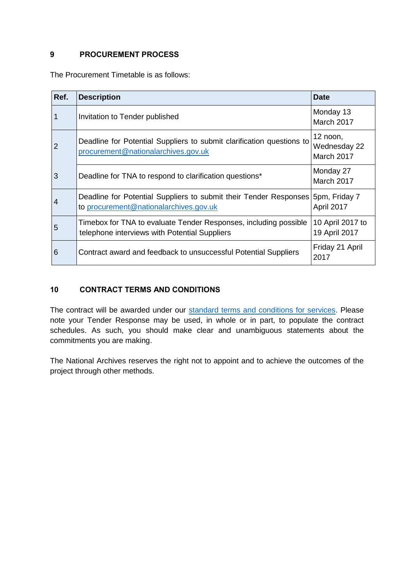## **9 PROCUREMENT PROCESS**

The Procurement Timetable is as follows:

| Ref.           | <b>Description</b>                                                                                                          | <b>Date</b>                            |
|----------------|-----------------------------------------------------------------------------------------------------------------------------|----------------------------------------|
|                | Invitation to Tender published                                                                                              | Monday 13<br>March 2017                |
| $\overline{2}$ | Deadline for Potential Suppliers to submit clarification questions to<br>procurement@nationalarchives.gov.uk                | 12 noon,<br>Wednesday 22<br>March 2017 |
| 3              | Deadline for TNA to respond to clarification questions*                                                                     | Monday 27<br>March 2017                |
| 4              | Deadline for Potential Suppliers to submit their Tender Responses   5pm, Friday 7<br>to procurement@nationalarchives.gov.uk | April 2017                             |
| 5              | Timebox for TNA to evaluate Tender Responses, including possible<br>telephone interviews with Potential Suppliers           | 10 April 2017 to<br>19 April 2017      |
| 6              | Contract award and feedback to unsuccessful Potential Suppliers                                                             | Friday 21 April<br>2017                |

## **10 CONTRACT TERMS AND CONDITIONS**

The contract will be awarded under our [standard terms and conditions for services.](http://www.nationalarchives.gov.uk/about/commercial-opportunities/information-for-our-suppliers/) Please note your Tender Response may be used, in whole or in part, to populate the contract schedules. As such, you should make clear and unambiguous statements about the commitments you are making.

The National Archives reserves the right not to appoint and to achieve the outcomes of the project through other methods.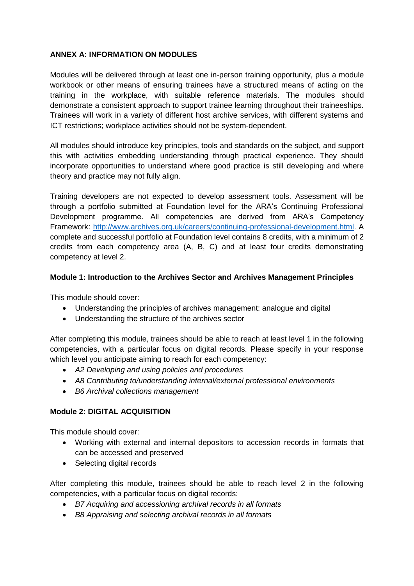### **ANNEX A: INFORMATION ON MODULES**

Modules will be delivered through at least one in-person training opportunity, plus a module workbook or other means of ensuring trainees have a structured means of acting on the training in the workplace, with suitable reference materials. The modules should demonstrate a consistent approach to support trainee learning throughout their traineeships. Trainees will work in a variety of different host archive services, with different systems and ICT restrictions; workplace activities should not be system-dependent.

All modules should introduce key principles, tools and standards on the subject, and support this with activities embedding understanding through practical experience. They should incorporate opportunities to understand where good practice is still developing and where theory and practice may not fully align.

Training developers are not expected to develop assessment tools. Assessment will be through a portfolio submitted at Foundation level for the ARA's Continuing Professional Development programme. All competencies are derived from ARA's Competency Framework: [http://www.archives.org.uk/careers/continuing-professional-development.html.](http://www.archives.org.uk/careers/continuing-professional-development.html) A complete and successful portfolio at Foundation level contains 8 credits, with a minimum of 2 credits from each competency area (A, B, C) and at least four credits demonstrating competency at level 2.

### **Module 1: Introduction to the Archives Sector and Archives Management Principles**

This module should cover:

- Understanding the principles of archives management: analogue and digital
- Understanding the structure of the archives sector

After completing this module, trainees should be able to reach at least level 1 in the following competencies, with a particular focus on digital records. Please specify in your response which level you anticipate aiming to reach for each competency:

- *A2 Developing and using policies and procedures*
- *A8 Contributing to/understanding internal/external professional environments*
- *B6 Archival collections management*

## **Module 2: DIGITAL ACQUISITION**

This module should cover:

- Working with external and internal depositors to accession records in formats that can be accessed and preserved
- Selecting digital records

After completing this module, trainees should be able to reach level 2 in the following competencies, with a particular focus on digital records:

- *B7 Acquiring and accessioning archival records in all formats*
- *B8 Appraising and selecting archival records in all formats*